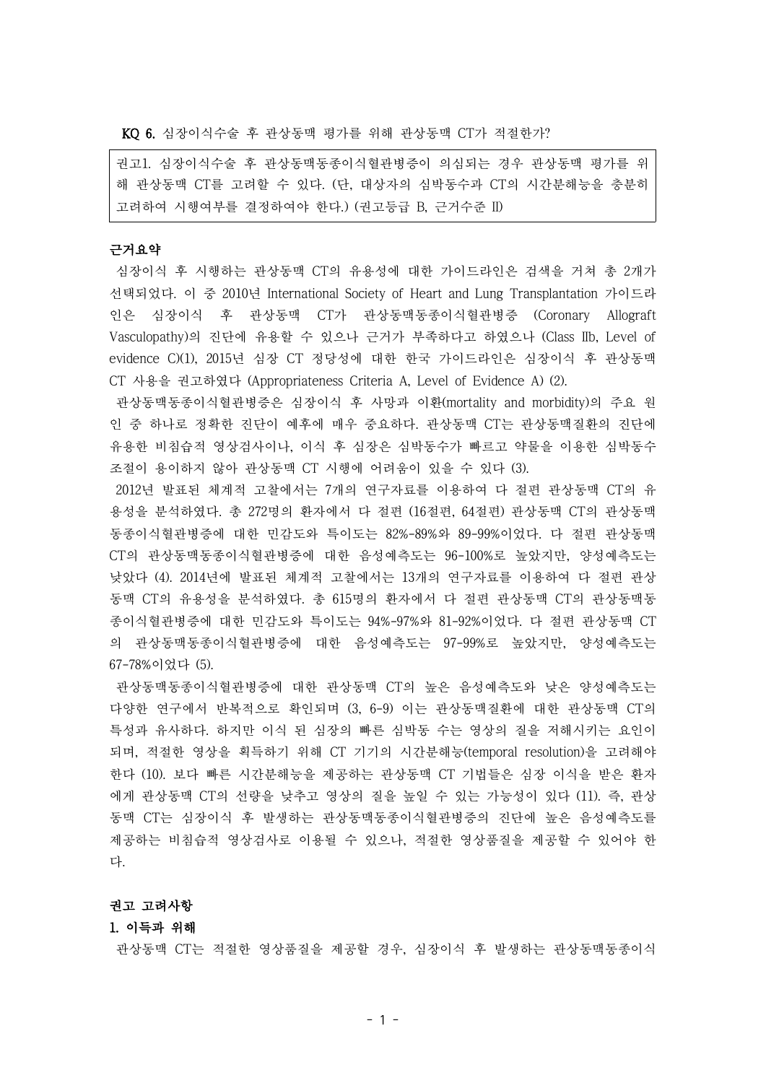KQ 6. 심장이식수술 후 관상동맥 평가를 위해 관상동맥 CT가 적절한가?

권고1. 심장이식수술 후 관상동맥동종이식혈관병증이 의심되는 경우 관상동맥 평가를 위 해 관상동맥 CT를 고려할 수 있다. (단, 대상자의 심박동수과 CT의 시간분해능을 충분히 고려하여 시행여부를 결정하여야 한다.) (권고등급 B, 근거수준 II)

# 근거요약

심장이식 후 시행하는 관상동맥 CT의 유용성에 대한 가이드라인은 검색을 거쳐 총 2개가 선택되었다. 이 중 2010년 International Society of Heart and Lung Transplantation 가이드라 인은 심장이식 후 관상동맥 CT가 관상동맥동종이식혈관병증 (Coronary Allograft Vasculopathy)의 진단에 유용할 수 있으나 근거가 부족하다고 하였으나 (Class IIb, Level of evidence C)(1), 2015년 심장 CT 정당성에 대한 한국 가이드라인은 심장이식 후 관상동맥 CT 사용을 권고하였다 (Appropriateness Criteria A, Level of Evidence A) (2).

관상동맥동종이식혈관병증은 심장이식 후 사망과 이환(mortality and morbidity)의 주요 원 인 중 하나로 정확한 진단이 예후에 매우 중요하다. 관상동맥 CT는 관상동맥질환의 진단에 유용한 비침습적 영상검사이나, 이식 후 심장은 심박동수가 빠르고 약물을 이용한 심박동수 조절이 용이하지 않아 관상동맥 CT 시행에 어려움이 있을 수 있다 (3).

2012년 발표된 체계적 고찰에서는 7개의 연구자료를 이용하여 다 절편 관상동맥 CT의 유 용성을 분석하였다. 총 272명의 환자에서 다 절편 (16절편, 64절편) 관상동맥 CT의 관상동맥 동종이식혈관병증에 대한 민감도와 특이도는 82%-89%와 89-99%이었다. 다 절편 관상동맥 CT의 관상동맥동종이식혈관병증에 대한 음성예측도는 96-100%로 높았지만, 양성예측도는 낮았다 (4). 2014년에 발표된 체계적 고찰에서는 13개의 연구자료를 이용하여 다 절편 관상 동맥 CT의 유용성을 분석하였다. 총 615명의 환자에서 다 절편 관상동맥 CT의 관상동맥동 종이식혈관병증에 대한 민감도와 특이도는 94%-97%와 81-92%이었다. 다 절편 관상동맥 CT 의 관상동맥동종이식혈관병증에 대한 음성예측도는 97-99%로 높았지만, 양성예측도는 67-78%이었다 (5).

관상동맥동종이식혈관병증에 대한 관상동맥 CT의 높은 음성예측도와 낮은 양성예측도는 다양한 연구에서 반복적으로 확인되며 (3, 6-9) 이는 관상동맥질환에 대한 관상동맥 CT의 특성과 유사하다. 하지만 이식 된 심장의 빠른 심박동 수는 영상의 질을 저해시키는 요인이 되며, 적절한 영상을 획득하기 위해 CT 기기의 시간분해능(temporal resolution)을 고려해야 한다 (10). 보다 빠른 시간분해능을 제공하는 관상동맥 CT 기법들은 심장 이식을 받은 환자 에게 관상동맥 CT의 선량을 낮추고 영상의 질을 높일 수 있는 가능성이 있다 (11). 즉, 관상 동맥 CT는 심장이식 후 발생하는 관상동맥동종이식혈관병증의 진단에 높은 음성예측도를 제공하는 비침습적 영상검사로 이용될 수 있으나, 적절한 영상품질을 제공할 수 있어야 한 다.

#### 권고 고려사항

#### 1. 이득과 위해

관상동맥 CT는 적절한 영상품질을 제공할 경우, 심장이식 후 발생하는 관상동맥동종이식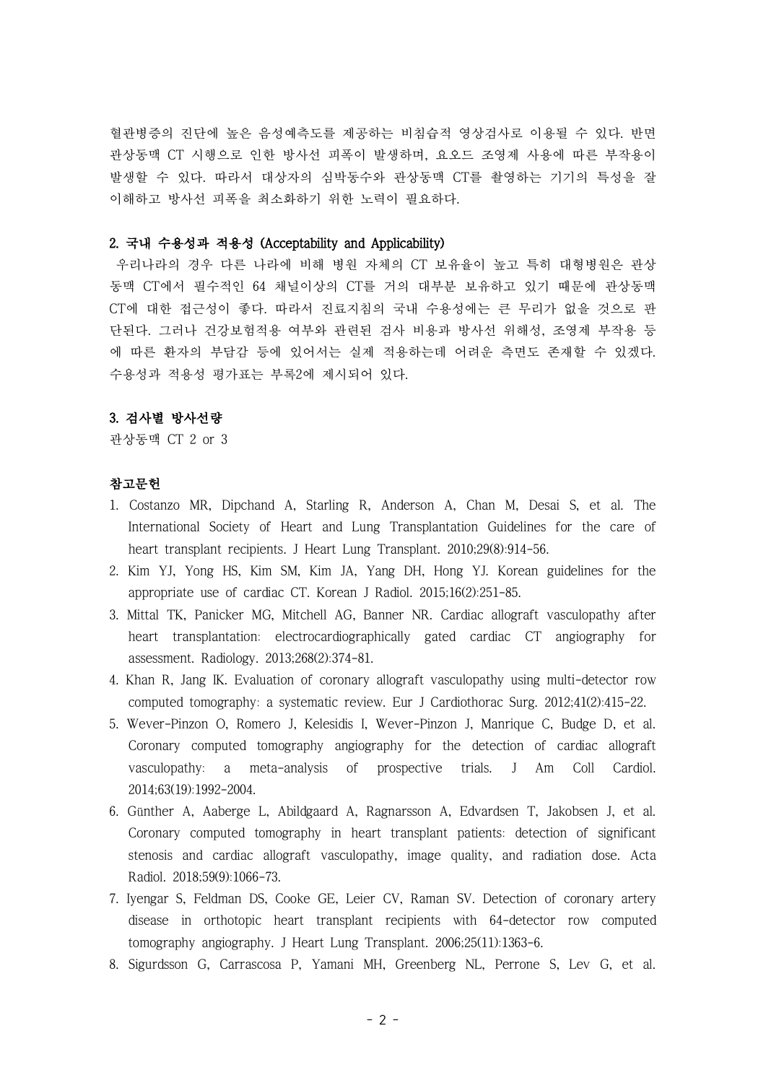혈관병증의 진단에 높은 음성예측도를 제공하는 비침습적 영상검사로 이용될 수 있다. 반면 관상동맥 CT 시행으로 인한 방사선 피폭이 발생하며, 요오드 조영제 사용에 따른 부작용이 발생할 수 있다. 따라서 대상자의 심박동수와 관상동맥 CT를 촬영하는 기기의 특성을 잘 이해하고 방사선 피폭을 최소화하기 위한 노력이 필요하다.

# 2. 국내 수용성과 적용성 (Acceptability and Applicability)

우리나라의 경우 다른 나라에 비해 병원 자체의 CT 보유율이 높고 특히 대형병원은 관상 동맥 CT에서 필수적인 64 채널이상의 CT를 거의 대부분 보유하고 있기 때문에 관상동맥 CT에 대한 접근성이 좋다. 따라서 진료지침의 국내 수용성에는 큰 무리가 없을 것으로 판 단된다. 그러나 건강보험적용 여부와 관련된 검사 비용과 방사선 위해성, 조영제 부작용 등 에 따른 환자의 부담감 등에 있어서는 실제 적용하는데 어려운 측면도 존재할 수 있겠다. 수용성과 적용성 평가표는 부록2에 제시되어 있다.

### 3. 검사별 방사선량

관상동맥 CT 2 or 3

### 참고문헌

- 1. Costanzo MR, Dipchand A, Starling R, Anderson A, Chan M, Desai S, et al. The International Society of Heart and Lung Transplantation Guidelines for the care of heart transplant recipients. J Heart Lung Transplant. 2010;29(8):914-56.
- 2. Kim YJ, Yong HS, Kim SM, Kim JA, Yang DH, Hong YJ. Korean guidelines for the appropriate use of cardiac CT. Korean J Radiol. 2015;16(2):251-85.
- 3. Mittal TK, Panicker MG, Mitchell AG, Banner NR. Cardiac allograft vasculopathy after heart transplantation: electrocardiographically gated cardiac CT angiography for assessment. Radiology. 2013;268(2):374-81.
- 4. Khan R, Jang IK. Evaluation of coronary allograft vasculopathy using multi-detector row computed tomography: a systematic review. Eur J Cardiothorac Surg. 2012;41(2):415-22.
- 5. Wever-Pinzon O, Romero J, Kelesidis I, Wever-Pinzon J, Manrique C, Budge D, et al. Coronary computed tomography angiography for the detection of cardiac allograft vasculopathy: a meta-analysis of prospective trials. J Am Coll Cardiol. 2014;63(19):1992-2004.
- 6. Günther A, Aaberge L, Abildgaard A, Ragnarsson A, Edvardsen T, Jakobsen J, et al. Coronary computed tomography in heart transplant patients: detection of significant stenosis and cardiac allograft vasculopathy, image quality, and radiation dose. Acta Radiol. 2018;59(9):1066-73.
- 7. Iyengar S, Feldman DS, Cooke GE, Leier CV, Raman SV. Detection of coronary artery disease in orthotopic heart transplant recipients with 64-detector row computed tomography angiography. J Heart Lung Transplant. 2006;25(11):1363-6.
- 8. Sigurdsson G, Carrascosa P, Yamani MH, Greenberg NL, Perrone S, Lev G, et al.